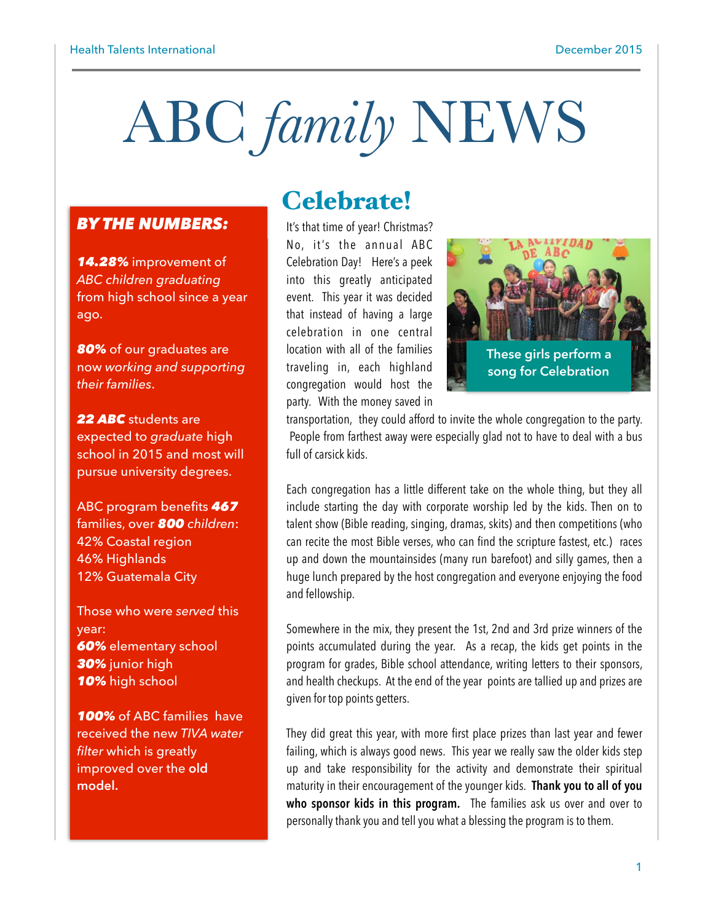# ABC *family* NEWS

#### *BY THE NUMBERS:*

*14.28%* improvement of *ABC children graduating*  from high school since a year ago.

*80%* of our graduates are now *working and supporting their families*.

*22 ABC* students are expected to *graduate* high school in 2015 and most will pursue university degrees.

ABC program benefits *467*  families, over *800 children*: 42% Coastal region 46% Highlands 12% Guatemala City

Those who were *served* this year: *60%* elementary school *30%* junior high *10%* high school

*100%* of ABC families have received the new *TIVA water filter* which is greatly improved over the **old model.** 

## Celebrate!

It's that time of year! Christmas? No, it's the annual ABC Celebration Day! Here's a peek into this greatly anticipated event. This year it was decided that instead of having a large celebration in one central location with all of the families traveling in, each highland congregation would host the party. With the money saved in



transportation, they could afford to invite the whole congregation to the party. People from farthest away were especially glad not to have to deal with a bus full of carsick kids.

Each congregation has a little different take on the whole thing, but they all include starting the day with corporate worship led by the kids. Then on to talent show (Bible reading, singing, dramas, skits) and then competitions (who can recite the most Bible verses, who can find the scripture fastest, etc.) races up and down the mountainsides (many run barefoot) and silly games, then a huge lunch prepared by the host congregation and everyone enjoying the food and fellowship.

Somewhere in the mix, they present the 1st, 2nd and 3rd prize winners of the points accumulated during the year. As a recap, the kids get points in the program for grades, Bible school attendance, writing letters to their sponsors, and health checkups. At the end of the year points are tallied up and prizes are given for top points getters.

They did great this year, with more first place prizes than last year and fewer failing, which is always good news. This year we really saw the older kids step up and take responsibility for the activity and demonstrate their spiritual maturity in their encouragement of the younger kids. **Thank you to all of you who sponsor kids in this program.** The families ask us over and over to personally thank you and tell you what a blessing the program is to them.